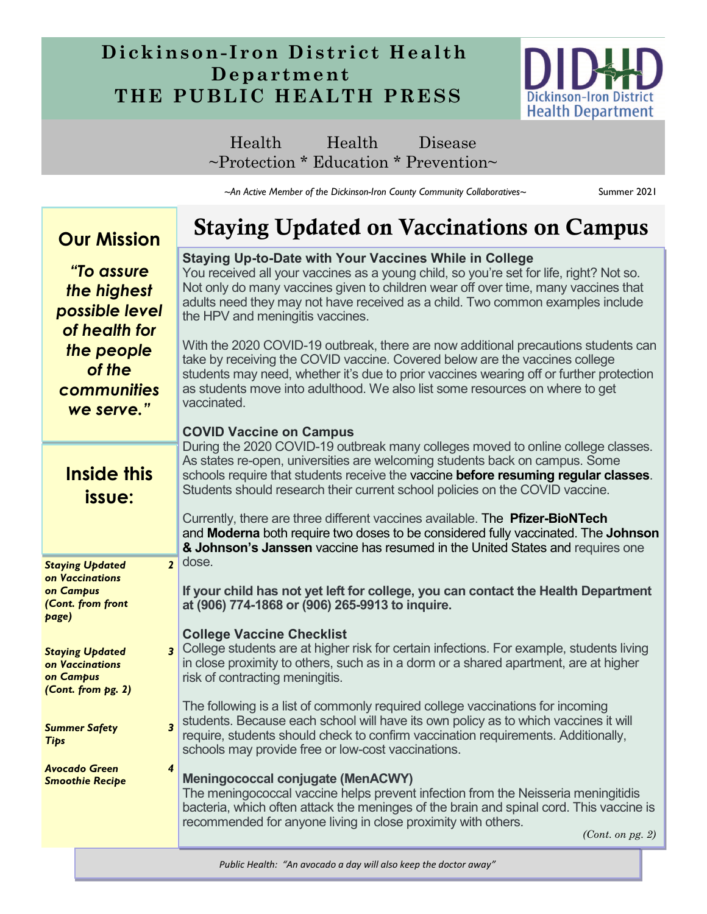# **Dickinson- Iron District Health Department THE PUBLIC HEALTH PRESS**



Health Health Disease ~Protection \* Education \* Prevention~

*~An Active Member of the Dickinson-Iron County Community Collaboratives~* Summer 2021

| <b>Our Mission</b>                                                                                                |                                                                                                                                                                                                                                                                                                                                              | <b>Staying Updated on Vaccinations on Campus</b>                                                                                                                                                                                                                                                                                                                        |
|-------------------------------------------------------------------------------------------------------------------|----------------------------------------------------------------------------------------------------------------------------------------------------------------------------------------------------------------------------------------------------------------------------------------------------------------------------------------------|-------------------------------------------------------------------------------------------------------------------------------------------------------------------------------------------------------------------------------------------------------------------------------------------------------------------------------------------------------------------------|
| "To assure<br>the highest<br>possible level<br>of health for<br>the people<br>of the<br>communities<br>we serve." |                                                                                                                                                                                                                                                                                                                                              | <b>Staying Up-to-Date with Your Vaccines While in College</b><br>You received all your vaccines as a young child, so you're set for life, right? Not so.<br>Not only do many vaccines given to children wear off over time, many vaccines that<br>adults need they may not have received as a child. Two common examples include<br>the HPV and meningitis vaccines.    |
|                                                                                                                   |                                                                                                                                                                                                                                                                                                                                              | With the 2020 COVID-19 outbreak, there are now additional precautions students can<br>take by receiving the COVID vaccine. Covered below are the vaccines college<br>students may need, whether it's due to prior vaccines wearing off or further protection<br>as students move into adulthood. We also list some resources on where to get<br>vaccinated.             |
|                                                                                                                   | <b>Inside this</b><br>issue:                                                                                                                                                                                                                                                                                                                 | <b>COVID Vaccine on Campus</b><br>During the 2020 COVID-19 outbreak many colleges moved to online college classes.<br>As states re-open, universities are welcoming students back on campus. Some<br>schools require that students receive the vaccine before resuming regular classes.<br>Students should research their current school policies on the COVID vaccine. |
|                                                                                                                   |                                                                                                                                                                                                                                                                                                                                              | Currently, there are three different vaccines available. The <b>Pfizer-BioNTech</b><br>and Moderna both require two doses to be considered fully vaccinated. The Johnson<br>& Johnson's Janssen vaccine has resumed in the United States and requires one                                                                                                               |
| on Campus<br>page)                                                                                                | $\overline{2}$<br><b>Staying Updated</b><br>on Vaccinations<br>(Cont. from front                                                                                                                                                                                                                                                             | dose.<br>If your child has not yet left for college, you can contact the Health Department<br>at (906) 774-1868 or (906) 265-9913 to inquire.                                                                                                                                                                                                                           |
| on Campus                                                                                                         | <b>College Vaccine Checklist</b><br>College students are at higher risk for certain infections. For example, students living<br>$\overline{z}$<br><b>Staying Updated</b><br>in close proximity to others, such as in a dorm or a shared apartment, are at higher<br>on Vaccinations<br>risk of contracting meningitis.<br>(Cont. from pg. 2) |                                                                                                                                                                                                                                                                                                                                                                         |
| <b>Summer Safety</b><br><b>Tips</b>                                                                               | 3                                                                                                                                                                                                                                                                                                                                            | The following is a list of commonly required college vaccinations for incoming<br>students. Because each school will have its own policy as to which vaccines it will<br>require, students should check to confirm vaccination requirements. Additionally,<br>schools may provide free or low-cost vaccinations.                                                        |
|                                                                                                                   | <b>Avocado Green</b><br>4<br><b>Smoothie Recipe</b>                                                                                                                                                                                                                                                                                          | <b>Meningococcal conjugate (MenACWY)</b><br>The meningococcal vaccine helps prevent infection from the Neisseria meningitidis<br>bacteria, which often attack the meninges of the brain and spinal cord. This vaccine is<br>recommended for anyone living in close proximity with others.<br>(Cont. on pg. $2$ )                                                        |
|                                                                                                                   |                                                                                                                                                                                                                                                                                                                                              |                                                                                                                                                                                                                                                                                                                                                                         |

*Public Health: "An avocado a day will also keep the doctor away"*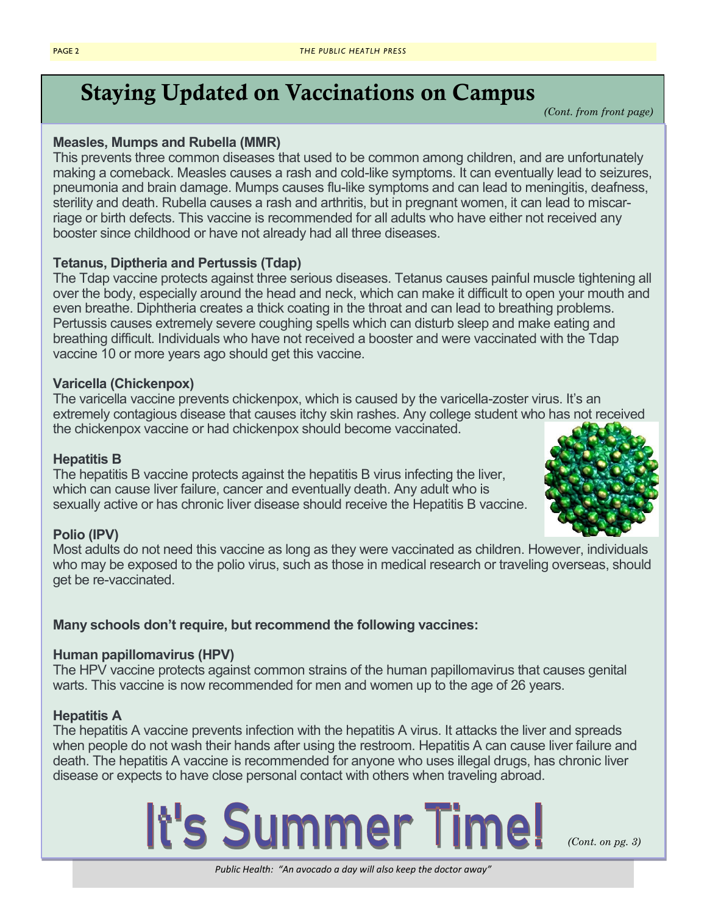# Staying Updated on Vaccinations on Campus

*(Cont. from front page)*

#### **Measles, Mumps and Rubella (MMR)**

This prevents three common diseases that used to be common among children, and are unfortunately making a comeback. Measles causes a rash and cold-like symptoms. It can eventually lead to seizures, pneumonia and brain damage. Mumps causes flu-like symptoms and can lead to meningitis, deafness, sterility and death. Rubella causes a rash and arthritis, but in pregnant women, it can lead to miscarriage or birth defects. This vaccine is recommended for all adults who have either not received any booster since childhood or have not already had all three diseases.

#### **Tetanus, Diptheria and Pertussis (Tdap)**

The Tdap vaccine protects against three serious diseases. Tetanus causes painful muscle tightening all over the body, especially around the head and neck, which can make it difficult to open your mouth and even breathe. Diphtheria creates a thick coating in the throat and can lead to breathing problems. Pertussis causes extremely severe coughing spells which can disturb sleep and make eating and breathing difficult. Individuals who have not received a booster and were vaccinated with the Tdap vaccine 10 or more years ago should get this vaccine.

#### **Varicella (Chickenpox)**

The varicella vaccine prevents chickenpox, which is caused by the varicella-zoster virus. It's an extremely contagious disease that causes itchy skin rashes. Any college student who has not received the chickenpox vaccine or had chickenpox should become vaccinated.

#### **Hepatitis B**

The hepatitis B vaccine protects against the hepatitis B virus infecting the liver, which can cause liver failure, cancer and eventually death. Any adult who is sexually active or has chronic liver disease should receive the Hepatitis B vaccine.

#### **Polio (IPV)**

Most adults do not need this vaccine as long as they were vaccinated as children. However, individuals who may be exposed to the polio virus, such as those in medical research or traveling overseas, should get be re-vaccinated.

#### **Many schools don't require, but recommend the following vaccines:**

#### **Human papillomavirus (HPV)**

The HPV vaccine protects against common strains of the human papillomavirus that causes genital warts. This vaccine is now recommended for men and women up to the age of 26 years.

#### **Hepatitis A**

The hepatitis A vaccine prevents infection with the hepatitis A virus. It attacks the liver and spreads when people do not wash their hands after using the restroom. Hepatitis A can cause liver failure and death. The hepatitis A vaccine is recommended for anyone who uses illegal drugs, has chronic liver disease or expects to have close personal contact with others when traveling abroad.

# It's Summer Time!

*(Cont. on pg. 3)*

*Public Health: "An avocado a day will also keep the doctor away"* 

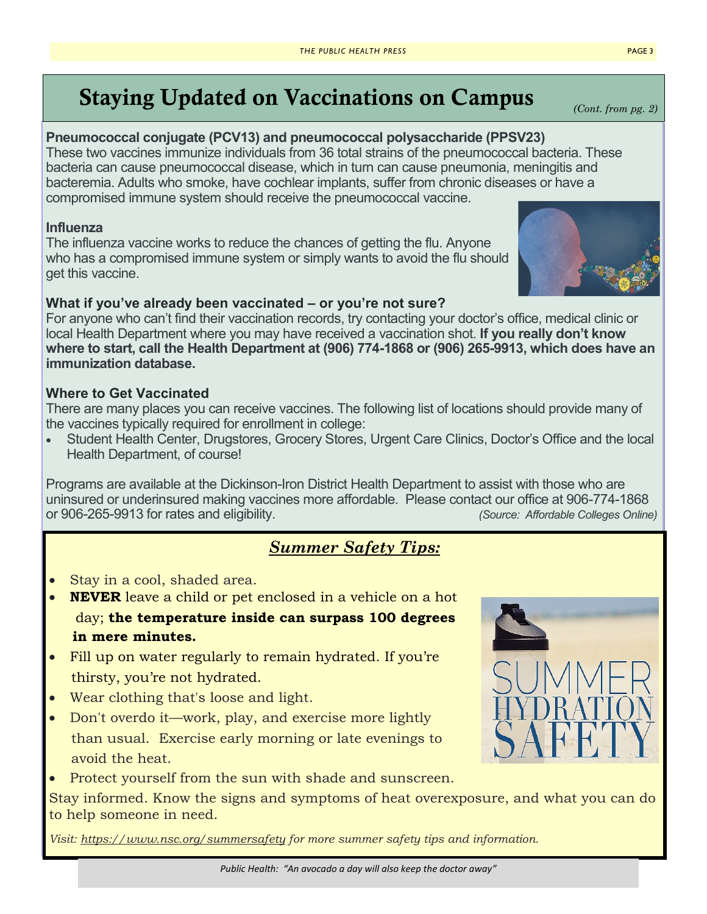# Staying Updated on Vaccinations on Campus *(Cont. from pg. 2)*

#### **Pneumococcal conjugate (PCV13) and pneumococcal polysaccharide (PPSV23)**

These two vaccines immunize individuals from 36 total strains of the pneumococcal bacteria. These bacteria can cause pneumococcal disease, which in turn can cause pneumonia, meningitis and bacteremia. Adults who smoke, have cochlear implants, suffer from chronic diseases or have a compromised immune system should receive the pneumococcal vaccine.

#### **Influenza**

The influenza vaccine works to reduce the chances of getting the flu. Anyone who has a compromised immune system or simply wants to avoid the flu should get this vaccine.

#### **What if you've already been vaccinated – or you're not sure?**

For anyone who can't find their vaccination records, try contacting your doctor's office, medical clinic or local Health Department where you may have received a vaccination shot. **If you really don't know where to start, call the Health Department at (906) 774-1868 or (906) 265-9913, which does have an immunization database.**

#### **Where to Get Vaccinated**

There are many places you can receive vaccines. The following list of locations should provide many of the vaccines typically required for enrollment in college:

• Student Health Center, Drugstores, Grocery Stores, Urgent Care Clinics, Doctor's Office and the local Health Department, of course!

Programs are available at the Dickinson-Iron District Health Department to assist with those who are uninsured or underinsured making vaccines more affordable. Please contact our office at 906-774-1868 or 906-265-9913 for rates and eligibility. *(Source: Affordable Colleges Online)*

## *Summer Safety Tips:*

- Stay in a cool, shaded area.
- **NEVER** leave a child or pet enclosed in a vehicle on a hot day; **the temperature inside can surpass 100 degrees in mere minutes.**
- Fill up on water regularly to remain hydrated. If you're thirsty, you're not hydrated.
- Wear clothing that's loose and light.
- Don't overdo it—work, play, and exercise more lightly than usual. Exercise early morning or late evenings to avoid the heat.
- Protect yourself from the sun with shade and sunscreen.

Stay informed. Know the signs and symptoms of heat overexposure, and what you can do to help someone in need.

*Visit: https://www.nsc.org/summersafety for more summer safety tips and information.*